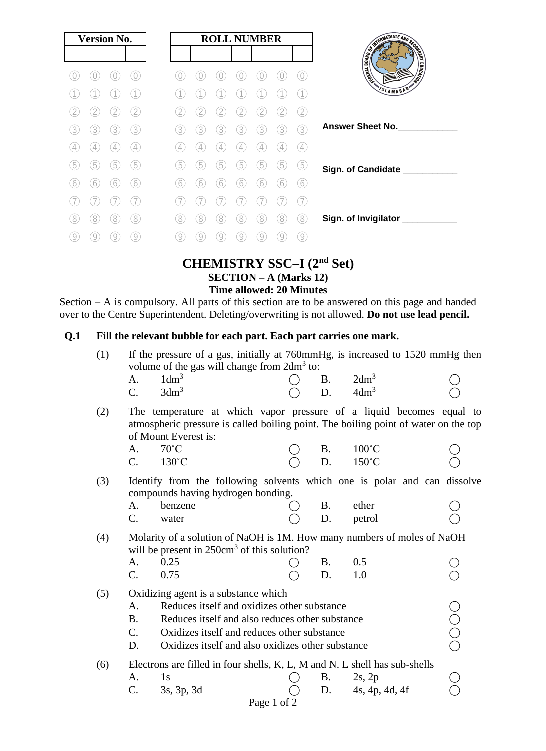| <b>Version No.</b>              | <b>ROLL NUMBER</b>                                          |                              |
|---------------------------------|-------------------------------------------------------------|------------------------------|
|                                 |                                                             | SINTED ATE AND DECKS         |
|                                 | $\bigcirc$                                                  | <b>EDUCATION</b><br>I Harden |
|                                 |                                                             | SLAMABAD <sup>®</sup>        |
| 2<br>$\mathbf{2}$               | $\frac{2}{2}$<br>$^{\prime}$ 2.                             |                              |
| 3)<br>3<br>3<br>3               | 3<br>3<br>3<br>3<br>3<br>3<br>3                             | Answer Sheet No.             |
| $\overline{4}$<br>4<br>4        | 4<br>4<br>4<br>$\left( 4\right)$<br>4<br>4<br>4             |                              |
| 5<br>5<br>5<br>5                | 5<br>5<br>5<br>5<br>5<br>5<br>5                             | Sign. of Candidate ___       |
| 6<br>(6)<br>6<br>6              | 6<br>6<br>6<br>6<br>6<br>6                                  |                              |
|                                 |                                                             |                              |
| 8<br>8<br>8<br>8                | 8<br>8<br>8<br>8<br>8<br>8<br>8                             | Sign. of Invigilator         |
| $\left[9\right]$<br>9<br>9<br>9 | $\left[9\right]$<br>9<br>$\overline{9}$<br>9<br>9<br>9<br>9 |                              |

## **CHEMISTRY SSC–I (2nd Set) SECTION – A (Marks 12) Time allowed: 20 Minutes**

Section – A is compulsory. All parts of this section are to be answered on this page and handed over to the Centre Superintendent. Deleting/overwriting is not allowed. **Do not use lead pencil.**

# **Q.1 Fill the relevant bubble for each part. Each part carries one mark.**

| (1) | If the pressure of a gas, initially at 760mmHg, is increased to 1520 mmHg then<br>volume of the gas will change from $2dm^3$ to: |                                                                                                                                                                                     |  |                  |                  |             |  |
|-----|----------------------------------------------------------------------------------------------------------------------------------|-------------------------------------------------------------------------------------------------------------------------------------------------------------------------------------|--|------------------|------------------|-------------|--|
|     | A <sub>1</sub>                                                                                                                   | $1dm^3$                                                                                                                                                                             |  |                  | B. $2dm^3$       |             |  |
|     | $C_{\cdot}$                                                                                                                      | 3dm <sup>3</sup>                                                                                                                                                                    |  | $\overline{D}$ . | 4dm <sup>3</sup> |             |  |
| (2) |                                                                                                                                  | The temperature at which vapor pressure of a liquid becomes equal to<br>atmospheric pressure is called boiling point. The boiling point of water on the top<br>of Mount Everest is: |  |                  |                  |             |  |
|     | A.                                                                                                                               | $70^{\circ}$ C                                                                                                                                                                      |  | <b>B.</b>        | $100^{\circ}$ C  |             |  |
|     | $C_{\cdot}$                                                                                                                      | $130^{\circ}$ C                                                                                                                                                                     |  | D.               | $150^{\circ}$ C  |             |  |
| (3) |                                                                                                                                  | Identify from the following solvents which one is polar and can dissolve<br>compounds having hydrogen bonding.                                                                      |  |                  |                  |             |  |
|     | A.                                                                                                                               | benzene                                                                                                                                                                             |  | <b>B.</b>        | ether            |             |  |
|     | $C_{\cdot}$                                                                                                                      | water                                                                                                                                                                               |  | D.               | petrol           |             |  |
| (4) |                                                                                                                                  | Molarity of a solution of NaOH is 1M. How many numbers of moles of NaOH<br>will be present in $250 \text{cm}^3$ of this solution?                                                   |  |                  |                  |             |  |
|     | A.                                                                                                                               | 0.25                                                                                                                                                                                |  | B.               | 0.5              |             |  |
|     | $C_{\cdot}$                                                                                                                      | 0.75                                                                                                                                                                                |  | D.               | 1.0              |             |  |
| (5) |                                                                                                                                  | Oxidizing agent is a substance which                                                                                                                                                |  |                  |                  |             |  |
|     | A.                                                                                                                               | Reduces itself and oxidizes other substance                                                                                                                                         |  |                  |                  |             |  |
|     | <b>B.</b>                                                                                                                        | Reduces itself and also reduces other substance                                                                                                                                     |  |                  |                  |             |  |
|     | $\mathcal{C}$ .                                                                                                                  | Oxidizes itself and reduces other substance                                                                                                                                         |  |                  |                  | Ŏ<br>O<br>O |  |
|     | D.                                                                                                                               | Oxidizes itself and also oxidizes other substance                                                                                                                                   |  |                  |                  |             |  |
| (6) |                                                                                                                                  | Electrons are filled in four shells, K, L, M and N. L shell has sub-shells                                                                                                          |  |                  |                  |             |  |
|     | A.                                                                                                                               | 1s                                                                                                                                                                                  |  | <b>B.</b>        | $2s$ , $2p$      |             |  |
|     | C.                                                                                                                               | 3s, 3p, 3d                                                                                                                                                                          |  | D.               | 4s, 4p, 4d, 4f   |             |  |
|     |                                                                                                                                  | Page 1 of 2                                                                                                                                                                         |  |                  |                  |             |  |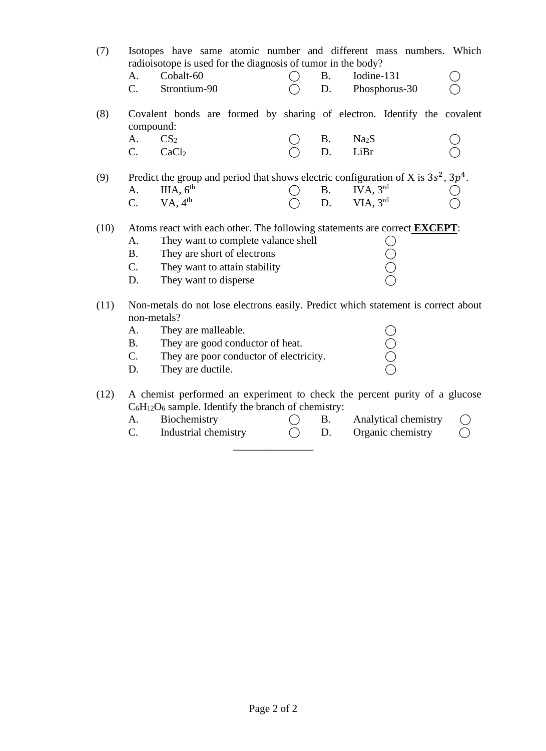(7) Isotopes have same atomic number and different mass numbers. Which radioisotope is used for the diagnosis of tumor in the body?

| Cobalt-60    |  | Iodine-131    |  |
|--------------|--|---------------|--|
| Strontium-90 |  | Phosphorus-30 |  |

(8) Covalent bonds are formed by sharing of electron. Identify the covalent compound:

| $A. \qquad CS_2$ |              | $\bigcap$ B. Na <sub>2</sub> S |  | $\bigcirc$ |
|------------------|--------------|--------------------------------|--|------------|
|                  | $C.$ $CaCl2$ | $\bigcap$ D. LiBr              |  | $\bigcirc$ |

(9) Predict the group and period that shows electric configuration of X is  $3s^2$ ,  $3p^4$ .  $A.$  III $A, 6<sup>th</sup>$  $B.$  IVA,  $3<sup>rd</sup>$ C.  $VA, 4<sup>th</sup>$  $D.$  VIA,  $3<sup>rd</sup>$ rd  $\bigcirc$ 

#### (10) Atoms react with each other. The following statements are correct **EXCEPT**:

A. They want to complete valance shell  $\bigcirc$ <br>
B. They are short of electrons  $\bigcirc$ <br>
C. They want to attain stability  $\bigcirc$ <br>
D. They want to disperse B. They are short of electrons

| They want to attain stability |  |
|-------------------------------|--|

- D. They want to disperse
- (11) Non-metals do not lose electrons easily. Predict which statement is correct about non-metals?
	- A. They are malleable.  $\bigcirc$ <br>
	B. They are good conductor of heat.  $\bigcirc$ <br>
	C. They are poor conductor of electricity.  $\bigcirc$ B. They are good conductor of heat. C. They are poor conductor of electricity. D. They are ductile.

(12) A chemist performed an experiment to check the percent purity of a glucose  $C_6H_{12}O_6$  sample. Identify the branch of chemistry:

- A. Biochemistry  $\bigcap$  B. Analytical chemistry
- C. Industrial chemistry  $\bigcirc$  D. Organic chemistry  $\bigcirc$ \_\_\_\_\_\_\_\_\_\_\_\_\_\_\_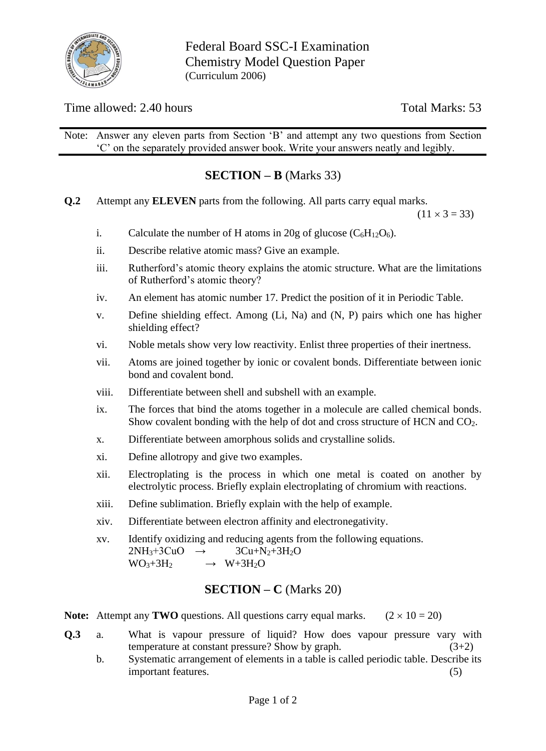

## Time allowed: 2.40 hours Total Marks: 53

Note: Answer any eleven parts from Section 'B' and attempt any two questions from Section 'C' on the separately provided answer book. Write your answers neatly and legibly.

# **SECTION – B** (Marks 33)

**Q.2** Attempt any **ELEVEN** parts from the following. All parts carry equal marks.

 $(11 \times 3 = 33)$ 

- i. Calculate the number of H atoms in 20g of glucose  $(C_6H_{12}O_6)$ .
- ii. Describe relative atomic mass? Give an example.
- iii. Rutherford's atomic theory explains the atomic structure. What are the limitations of Rutherford's atomic theory?
- iv. An element has atomic number 17. Predict the position of it in Periodic Table.
- v. Define shielding effect. Among (Li, Na) and (N, P) pairs which one has higher shielding effect?
- vi. Noble metals show very low reactivity. Enlist three properties of their inertness.
- vii. Atoms are joined together by ionic or covalent bonds. Differentiate between ionic bond and covalent bond.
- viii. Differentiate between shell and subshell with an example.
- ix. The forces that bind the atoms together in a molecule are called chemical bonds. Show covalent bonding with the help of dot and cross structure of HCN and CO2.
- x. Differentiate between amorphous solids and crystalline solids.
- xi. Define allotropy and give two examples.
- xii. Electroplating is the process in which one metal is coated on another by electrolytic process. Briefly explain electroplating of chromium with reactions.
- xiii. Define sublimation. Briefly explain with the help of example.
- xiv. Differentiate between electron affinity and electronegativity.

xv. Identify oxidizing and reducing agents from the following equations.  $2NH_3+3CuO \rightarrow 3Cu+N_2+3H_2O$  $WO_{3+}3H_2 \rightarrow W_3H_2O$ 

## **SECTION – C** (Marks 20)

**Note:** Attempt any **TWO** questions. All questions carry equal marks.  $(2 \times 10 = 20)$ 

- **Q.3** a. What is vapour pressure of liquid? How does vapour pressure vary with temperature at constant pressure? Show by graph.  $(3+2)$ 
	- b. Systematic arrangement of elements in a table is called periodic table. Describe its important features. (5)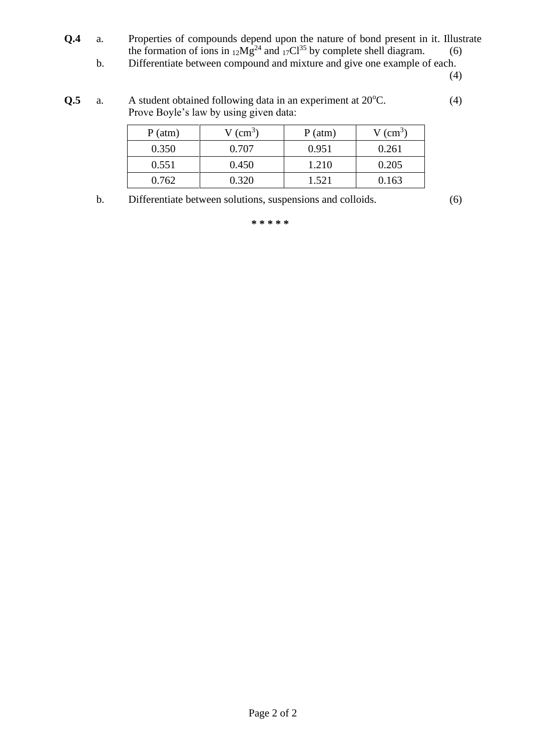- **Q.4** a. Properties of compounds depend upon the nature of bond present in it. Illustrate the formation of ions in  $_{12}Mg^{24}$  and  $_{17}Cl^{35}$  by complete shell diagram. (6)
	- b. Differentiate between compound and mixture and give one example of each.

(4)

 $Q.5$  a. A student obtained following data in an experiment at  $20^{\circ}$ C.  $(4)$ Prove Boyle's law by using given data:

| $P$ (atm) | $V$ (cm <sup>3</sup> ) | $P(\text{atm})$ | $V$ (cm <sup>3</sup> ) |
|-----------|------------------------|-----------------|------------------------|
| 0.350     | 0.707                  | 0.951           | 0.261                  |
| 0.551     | 0.450                  | 1.210           | 0.205                  |
| 0.762     | 0.320                  | 1.521           | 0.163                  |

b. Differentiate between solutions, suspensions and colloids. (6)

**\* \* \* \* \***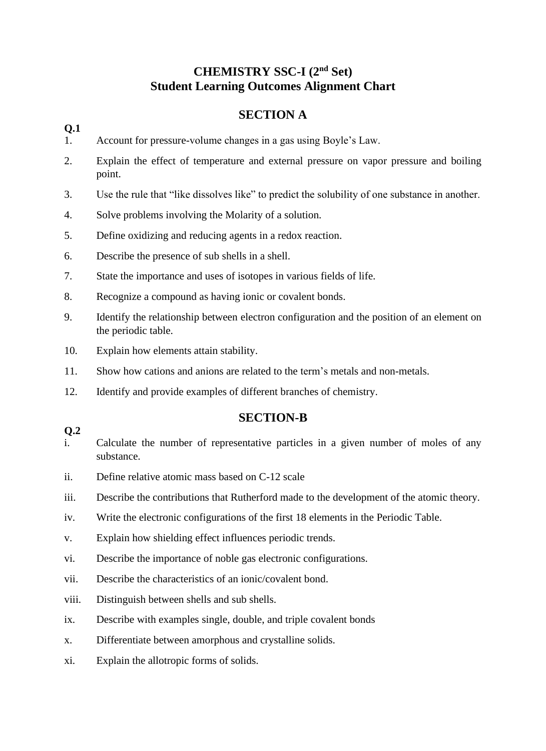# **CHEMISTRY SSC-I (2nd Set) Student Learning Outcomes Alignment Chart**

# **SECTION A**

#### **Q.1**

- 1. Account for pressure-volume changes in a gas using Boyle's Law.
- 2. Explain the effect of temperature and external pressure on vapor pressure and boiling point.
- 3. Use the rule that "like dissolves like" to predict the solubility of one substance in another.
- 4. Solve problems involving the Molarity of a solution.
- 5. Define oxidizing and reducing agents in a redox reaction.
- 6. Describe the presence of sub shells in a shell.
- 7. State the importance and uses of isotopes in various fields of life.
- 8. Recognize a compound as having ionic or covalent bonds.
- 9. Identify the relationship between electron configuration and the position of an element on the periodic table.
- 10. Explain how elements attain stability.
- 11. Show how cations and anions are related to the term's metals and non-metals.
- 12. Identify and provide examples of different branches of chemistry.

## **SECTION-B**

#### **Q.2**

- i. Calculate the number of representative particles in a given number of moles of any substance.
- ii. Define relative atomic mass based on C-12 scale
- iii. Describe the contributions that Rutherford made to the development of the atomic theory.
- iv. Write the electronic configurations of the first 18 elements in the Periodic Table.
- v. Explain how shielding effect influences periodic trends.
- vi. Describe the importance of noble gas electronic configurations.
- vii. Describe the characteristics of an ionic/covalent bond.
- viii. Distinguish between shells and sub shells.
- ix. Describe with examples single, double, and triple covalent bonds
- x. Differentiate between amorphous and crystalline solids.
- xi. Explain the allotropic forms of solids.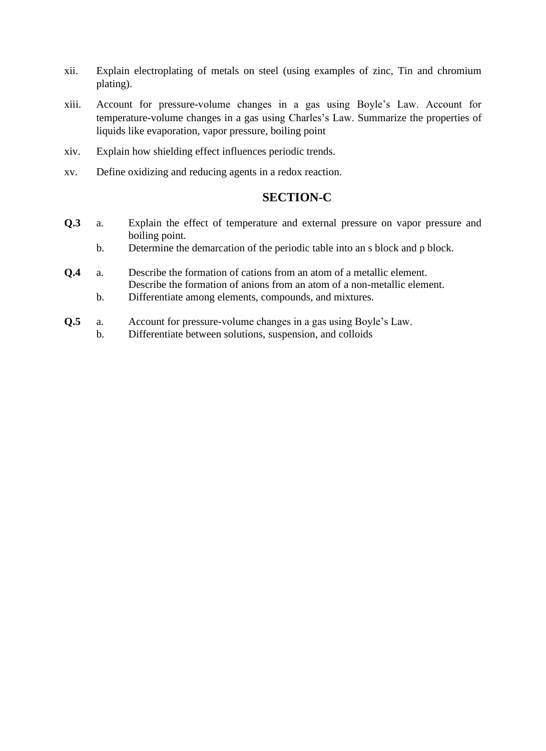- xii. Explain electroplating of metals on steel (using examples of zinc, Tin and chromium plating).
- xiii. Account for pressure-volume changes in a gas using Boyle's Law. Account for temperature-volume changes in a gas using Charles's Law. Summarize the properties of liquids like evaporation, vapor pressure, boiling point
- xiv. Explain how shielding effect influences periodic trends.
- xv. Define oxidizing and reducing agents in a redox reaction.

## **SECTION-C**

- **Q.3** a. Explain the effect of temperature and external pressure on vapor pressure and boiling point.
	- b. Determine the demarcation of the periodic table into an s block and p block.
- **Q.4** a. Describe the formation of cations from an atom of a metallic element. Describe the formation of anions from an atom of a non-metallic element.
	- b. Differentiate among elements, compounds, and mixtures.
- **Q.5** a. Account for pressure-volume changes in a gas using Boyle's Law.
	- b. Differentiate between solutions, suspension, and colloids